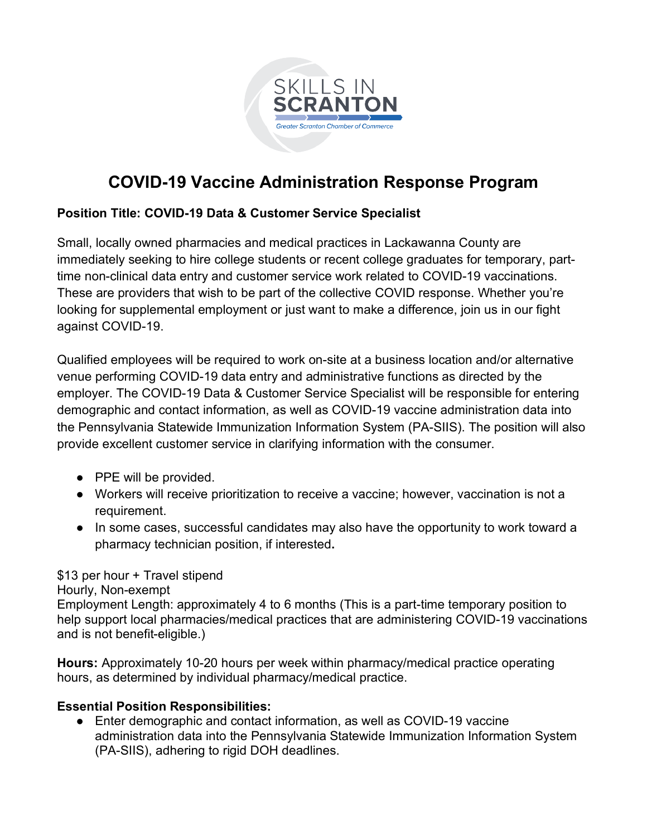

# **COVID-19 Vaccine Administration Response Program**

# **Position Title: COVID-19 Data & Customer Service Specialist**

Small, locally owned pharmacies and medical practices in Lackawanna County are immediately seeking to hire college students or recent college graduates for temporary, parttime non-clinical data entry and customer service work related to COVID-19 vaccinations. These are providers that wish to be part of the collective COVID response. Whether you're looking for supplemental employment or just want to make a difference, join us in our fight against COVID-19.

Qualified employees will be required to work on-site at a business location and/or alternative venue performing COVID-19 data entry and administrative functions as directed by the employer. The COVID-19 Data & Customer Service Specialist will be responsible for entering demographic and contact information, as well as COVID-19 vaccine administration data into the Pennsylvania Statewide Immunization Information System (PA-SIIS). The position will also provide excellent customer service in clarifying information with the consumer.

- PPE will be provided.
- Workers will receive prioritization to receive a vaccine; however, vaccination is not a requirement.
- In some cases, successful candidates may also have the opportunity to work toward a pharmacy technician position, if interested**.**

### \$13 per hour + Travel stipend

Hourly, Non-exempt

Employment Length: approximately 4 to 6 months (This is a part-time temporary position to help support local pharmacies/medical practices that are administering COVID-19 vaccinations and is not benefit-eligible.)

**Hours:** Approximately 10-20 hours per week within pharmacy/medical practice operating hours, as determined by individual pharmacy/medical practice.

### **Essential Position Responsibilities:**

● Enter demographic and contact information, as well as COVID-19 vaccine administration data into the Pennsylvania Statewide Immunization Information System (PA-SIIS), adhering to rigid DOH deadlines.